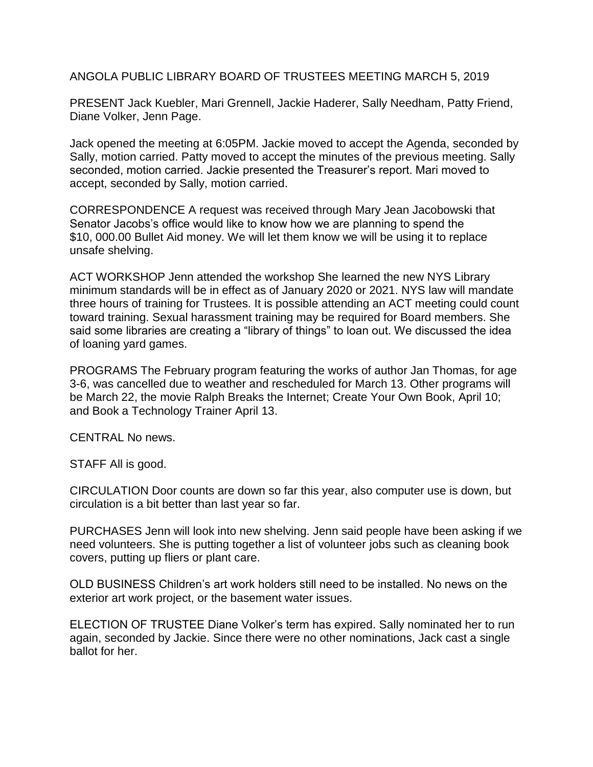ANGOLA PUBLIC LIBRARY BOARD OF TRUSTEES MEETING MARCH 5, 2019

PRESENT Jack Kuebler, Mari Grennell, Jackie Haderer, Sally Needham, Patty Friend, Diane Volker, Jenn Page.

Jack opened the meeting at 6:05PM. Jackie moved to accept the Agenda, seconded by Sally, motion carried. Patty moved to accept the minutes of the previous meeting. Sally seconded, motion carried. Jackie presented the Treasurer's report. Mari moved to accept, seconded by Sally, motion carried.

CORRESPONDENCE A request was received through Mary Jean Jacobowski that Senator Jacobs's office would like to know how we are planning to spend the \$10, 000.00 Bullet Aid money. We will let them know we will be using it to replace unsafe shelving.

ACT WORKSHOP Jenn attended the workshop She learned the new NYS Library minimum standards will be in effect as of January 2020 or 2021. NYS law will mandate three hours of training for Trustees. It is possible attending an ACT meeting could count toward training. Sexual harassment training may be required for Board members. She said some libraries are creating a "library of things" to loan out. We discussed the idea of loaning yard games.

PROGRAMS The February program featuring the works of author Jan Thomas, for age 3-6, was cancelled due to weather and rescheduled for March 13. Other programs will be March 22, the movie Ralph Breaks the Internet; Create Your Own Book, April 10; and Book a Technology Trainer April 13.

CENTRAL No news.

STAFF All is good.

CIRCULATION Door counts are down so far this year, also computer use is down, but circulation is a bit better than last year so far.

PURCHASES Jenn will look into new shelving. Jenn said people have been asking if we need volunteers. She is putting together a list of volunteer jobs such as cleaning book covers, putting up fliers or plant care.

OLD BUSINESS Children's art work holders still need to be installed. No news on the exterior art work project, or the basement water issues.

ELECTION OF TRUSTEE Diane Volker's term has expired. Sally nominated her to run again, seconded by Jackie. Since there were no other nominations, Jack cast a single ballot for her.